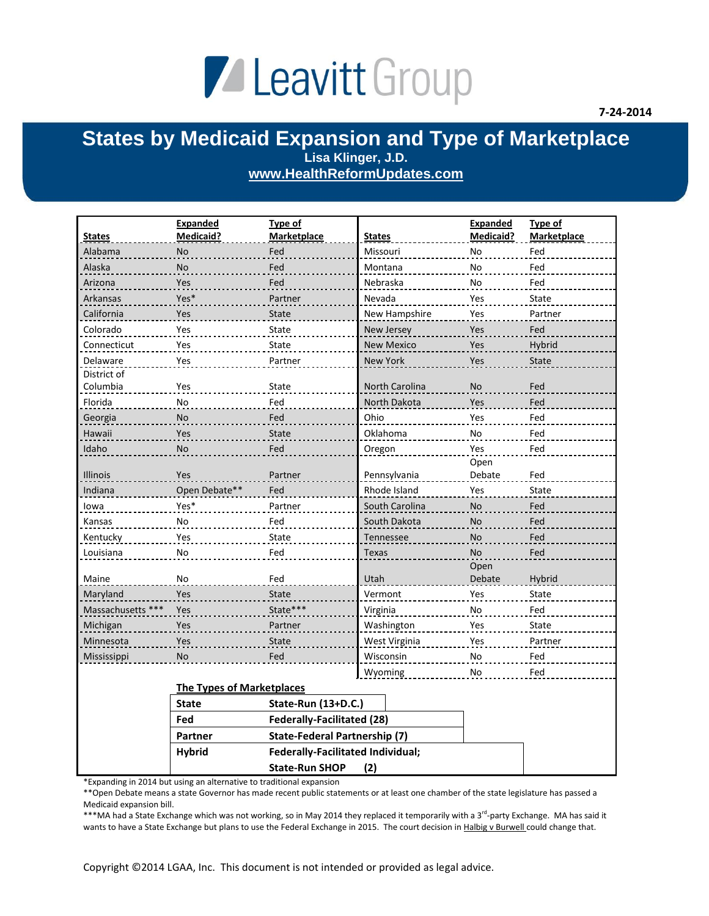## Leavitt Group

## **States by Medicaid Expansion and Type of Marketplace Lisa Klinger, J.D. [www.HealthReformUpdates.com](http://www.healthreformupdates.com/)**

| <b>States</b>           | Expanded<br><b>Medicaid?</b>     | Type of<br>Marketplace                   | <b>States</b>     | Expanded<br><b>Medicaid?</b> | Type of<br><b>Marketplace</b> |
|-------------------------|----------------------------------|------------------------------------------|-------------------|------------------------------|-------------------------------|
| Alabama                 | No                               | Fed                                      | Missouri          | No                           | Fed                           |
| Alaska                  | No                               | Fed                                      | Montana           | <b>No</b>                    | Fed                           |
| Arizona                 | Yes                              | Fed                                      | Nebraska          | No                           | Fed                           |
| Arkansas                | Yes*                             | Partner                                  | Nevada            | Yes                          | State                         |
| California              | Yes                              | State                                    | New Hampshire     | Yes                          | Partner                       |
| Colorado                | Yes                              | State                                    | New Jersey        | Yes                          | Fed                           |
| Connecticut             | Yes                              | State                                    |                   |                              | Hybrid                        |
|                         |                                  |                                          | <b>New Mexico</b> | Yes                          |                               |
| Delaware<br>District of | Yes                              | Partner                                  | New York          | Yes                          | <b>State</b>                  |
| Columbia                | Yes                              | State                                    | North Carolina    | No                           | Fed                           |
| Florida                 | No                               | Fed                                      | North Dakota      | Yes                          | Fed                           |
| Georgia                 | No                               | Fed                                      | Ohio              | Yes                          | Fed                           |
| Hawaii                  | Yes                              | <b>State</b>                             | Oklahoma          | No                           | Fed                           |
| Idaho                   | No                               | Fed                                      | Oregon            | Yes                          | Fed                           |
|                         |                                  |                                          |                   | Open                         |                               |
| <b>Illinois</b>         | Yes                              | Partner                                  | Pennsylvania      | Debate                       | Fed                           |
| Indiana                 | Open Debate**                    | Fed                                      | Rhode Island      | Yes                          | <b>State</b>                  |
| lowa                    | Yes*                             | Partner                                  | South Carolina    | No                           | Fed                           |
| Kansas                  | No                               | Fed                                      | South Dakota      | <b>No</b>                    | Fed                           |
| Kentucky                | Yes                              | State                                    | Tennessee         | <b>No</b>                    | Fed                           |
| Louisiana               | No                               | Fed                                      | <b>Texas</b>      | <b>No</b>                    | Fed                           |
| Maine                   | No                               | Fed                                      | Utah              | Open<br>Debate               | Hybrid                        |
| Maryland                | Yes                              | <b>State</b>                             | Vermont           | Yes                          | State                         |
| Massachusetts ***       | Yes                              | State***                                 | Virginia          | No                           | Fed                           |
| Michigan                | Yes                              | Partner                                  | Washington        | Yes                          | State                         |
| Minnesota               | Yes                              | State                                    | West Virginia     | Yes                          | Partner                       |
| Mississippi             | No                               | Fed                                      | Wisconsin         | $\operatorname{\mathsf{No}}$ | Fed                           |
|                         |                                  |                                          | Wyoming           | No                           | Fed                           |
|                         | <b>The Types of Marketplaces</b> |                                          |                   |                              |                               |
|                         | <b>State</b>                     | State-Run (13+D.C.)                      |                   |                              |                               |
|                         | Fed                              | <b>Federally-Facilitated (28)</b>        |                   |                              |                               |
|                         | Partner                          | <b>State-Federal Partnership (7)</b>     |                   |                              |                               |
|                         | <b>Hybrid</b>                    | <b>Federally-Facilitated Individual;</b> |                   |                              |                               |
|                         |                                  | <b>State-Run SHOP</b>                    | (2)               |                              |                               |

\*Expanding in 2014 but using an alternative to traditional expansion

\*\*Open Debate means a state Governor has made recent public statements or at least one chamber of the state legislature has passed a Medicaid expansion bill.

\*\*\*MA had a State Exchange which was not working, so in May 2014 they replaced it temporarily with a 3<sup>rd</sup>-party Exchange. MA has said it wants to have a State Exchange but plans to use the Federal Exchange in 2015. The court decision in Halbig v Burwell could change that.

Copyright ©2014 LGAA, Inc. This document is not intended or provided as legal advice.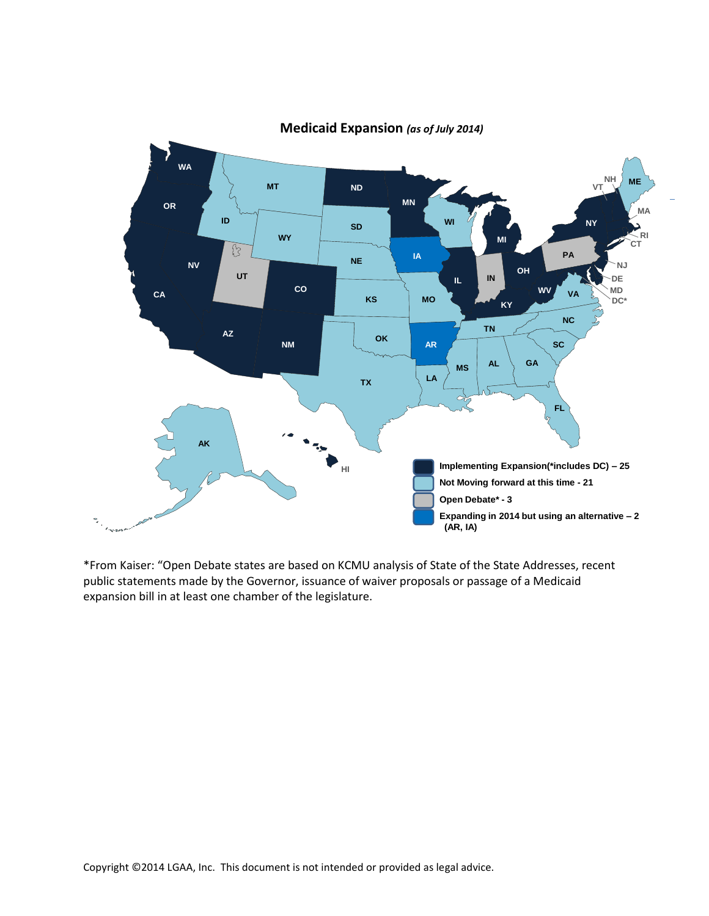

**Medicaid Expansion** *(as of July 2014)*

\*From Kaiser: "Open Debate states are based on KCMU analysis of State of the State Addresses, recent public statements made by the Governor, issuance of waiver proposals or passage of a Medicaid expansion bill in at least one chamber of the legislature.